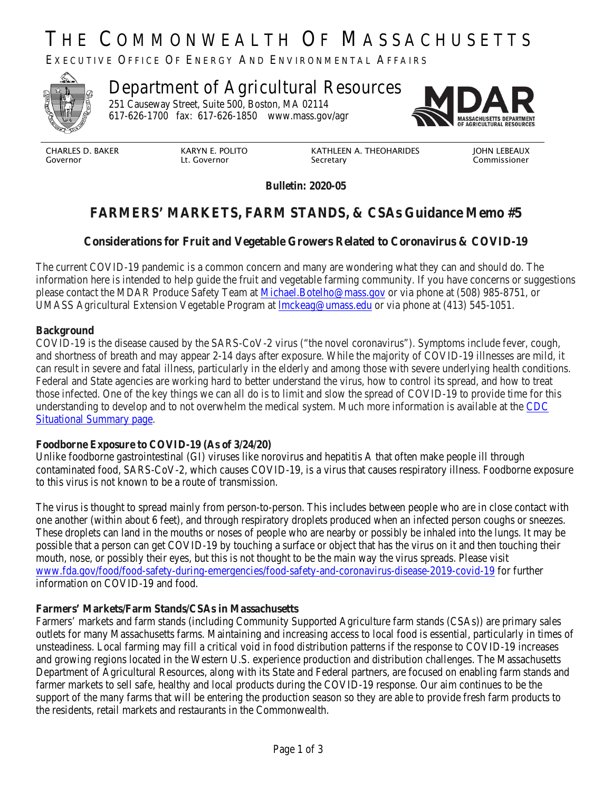# THE COMMONWEALTH OF MASSACHUSETTS

EXECUTIVE OFFICE OF ENERGY AND ENVIRONMENTAL AFFAIRS



# Department of Agricultural Resources

251 Causeway Street, Suite 500, Boston, MA 02114 617-626-1700 fax: 617-626-1850 www.mass.gov/agr



CHARLES D. BAKER Governor

KARYN E. POLITO Lt. Governor

KATHLEEN A. THEOHARIDES Secretary

JOHN LEBEAUX Commissioner

**Bulletin: 2020-05**

# **FARMERS' MARKETS, FARM STANDS, & CSAs Guidance Memo #5**

## **Considerations for Fruit and Vegetable Growers Related to Coronavirus & COVID-19**

The current COVID-19 pandemic is a common concern and many are wondering what they can and should do. The information here is intended to help guide the fruit and vegetable farming community. If you have concerns or suggestions please contact the MDAR Produce Safety Team at [Michael.Botelho@mass.gov](mailto:Michael.Botelho@mass.govo) or via phone at (508) 985-8751, or UMASS Agricultural Extension Vegetable Program at [lmckeag@umass.edu](mailto:lmckeag@umass.edu) or via phone at (413) 545-1051.

#### **Background**

COVID-19 is the disease caused by the SARS-CoV-2 virus ("the novel coronavirus"). Symptoms include fever, cough, and shortness of breath and may appear 2-14 days after exposure. While the majority of COVID-19 illnesses are mild, it can result in severe and fatal illness, particularly in the elderly and among those with severe underlying health conditions. Federal and State agencies are working hard to better understand the virus, how to control its spread, and how to treat those infected. One of the key things we can all do is to limit and slow the spread of COVID-19 to provide time for this understanding to develop and to not overwhelm the medical system. Much more information is available at the [CDC](https://urldefense.proofpoint.com/v2/url?u=https-3A__www.cdc.gov_coronavirus_2019-2Dncov_summary.html&d=DwMFAg&c=lDF7oMaPKXpkYvev9V-fVahWL0QWnGCCAfCDz1Bns_w&r=eNHhKpUTWno0OCCO36klzi-gCZhKXhiakt-MJ9iZ2Do&m=M-5e3LqmM_4cGJIEdIpOkjQt27iCrhkM4JCVsmQZcz0&s=3MC1mnzgGuErcM6LRx2Cu3ot4cNlXGc9KacO8UNQ8oY&e=)  [Situational Summary page.](https://urldefense.proofpoint.com/v2/url?u=https-3A__www.cdc.gov_coronavirus_2019-2Dncov_summary.html&d=DwMFAg&c=lDF7oMaPKXpkYvev9V-fVahWL0QWnGCCAfCDz1Bns_w&r=eNHhKpUTWno0OCCO36klzi-gCZhKXhiakt-MJ9iZ2Do&m=M-5e3LqmM_4cGJIEdIpOkjQt27iCrhkM4JCVsmQZcz0&s=3MC1mnzgGuErcM6LRx2Cu3ot4cNlXGc9KacO8UNQ8oY&e=)

#### **Foodborne Exposure to COVID-19 (As of 3/24/20)**

Unlike foodborne gastrointestinal (GI) viruses like norovirus and hepatitis A that often make people ill through contaminated food, SARS-CoV-2, which causes COVID-19, is a virus that causes respiratory illness. Foodborne exposure to this virus is not known to be a route of transmission.

The virus is thought to spread mainly from person-to-person. This includes between people who are in close contact with one another (within about 6 feet), and through respiratory droplets produced when an infected person coughs or sneezes. These droplets can land in the mouths or noses of people who are nearby or possibly be inhaled into the lungs. It may be possible that a person can get COVID-19 by touching a surface or object that has the virus on it and then touching their mouth, nose, or possibly their eyes, but this is not thought to be the main way the virus spreads. Please visit [www.fda.gov/food/food-safety-during-emergencies/food-safety-and-coronavirus-disease-2019-covid-19](http://www.fda.gov/food/food-safety-during-emergencies/food-safety-and-coronavirus-disease-2019-covid-19) for further information on COVID-19 and food.

#### **Farmers' Markets/Farm Stands/CSAs in Massachusetts**

Farmers' markets and farm stands (including Community Supported Agriculture farm stands (CSAs)) are primary sales outlets for many Massachusetts farms. Maintaining and increasing access to local food is essential, particularly in times of unsteadiness. Local farming may fill a critical void in food distribution patterns if the response to COVID-19 increases and growing regions located in the Western U.S. experience production and distribution challenges. The Massachusetts Department of Agricultural Resources, along with its State and Federal partners, are focused on enabling farm stands and farmer markets to sell safe, healthy and local products during the COVID-19 response. Our aim continues to be the support of the many farms that will be entering the production season so they are able to provide fresh farm products to the residents, retail markets and restaurants in the Commonwealth.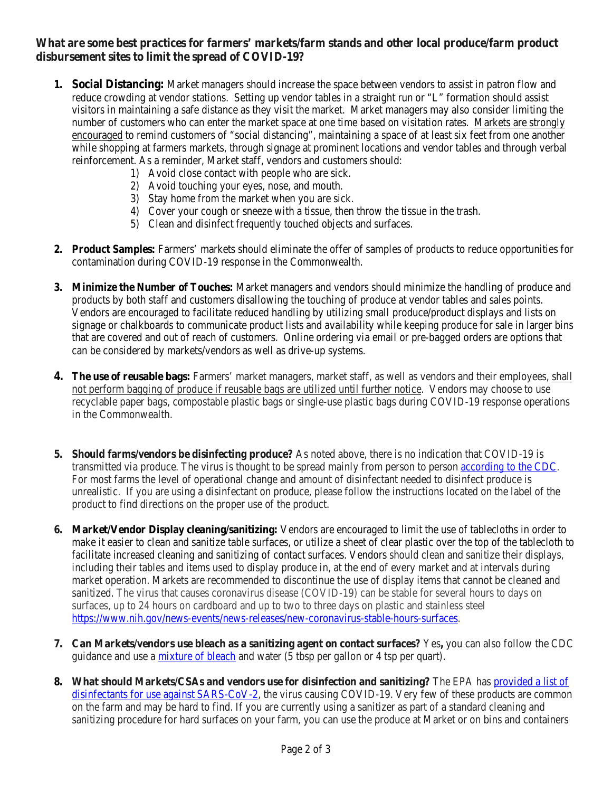### **What are some best practices for farmers' markets/farm stands and other local produce/farm product disbursement sites to limit the spread of COVID-19?**

- **1. Social Distancing:** Market managers should increase the space between vendors to assist in patron flow and reduce crowding at vendor stations. Setting up vendor tables in a straight run or "L" formation should assist visitors in maintaining a safe distance as they visit the market. Market managers may also consider limiting the number of customers who can enter the market space at one time based on visitation rates. Markets are strongly encouraged to remind customers of "social distancing", maintaining a space of at least six feet from one another while shopping at farmers markets, through signage at prominent locations and vendor tables and through verbal reinforcement. As a reminder, Market staff, vendors and customers should:
	- 1) Avoid close contact with people who are sick.
	- 2) Avoid touching your eyes, nose, and mouth.
	- 3) Stay home from the market when you are sick.
	- 4) Cover your cough or sneeze with a tissue, then throw the tissue in the trash.
	- 5) Clean and disinfect frequently touched objects and surfaces.
- **2. Product Samples:** Farmers' markets should eliminate the offer of samples of products to reduce opportunities for contamination during COVID-19 response in the Commonwealth.
- **3. Minimize the Number of Touches:** Market managers and vendors should minimize the handling of produce and products by both staff and customers disallowing the touching of produce at vendor tables and sales points. Vendors are encouraged to facilitate reduced handling by utilizing small produce/product displays and lists on signage or chalkboards to communicate product lists and availability while keeping produce for sale in larger bins that are covered and out of reach of customers. Online ordering via email or pre-bagged orders are options that can be considered by markets/vendors as well as drive-up systems.
- **4. The use of reusable bags:** Farmers' market managers, market staff, as well as vendors and their employees, shall not perform bagging of produce if reusable bags are utilized until further notice. Vendors may choose to use recyclable paper bags, compostable plastic bags or single-use plastic bags during COVID-19 response operations in the Commonwealth.
- **5. Should farms/vendors be disinfecting produce?** As noted above, there is no indication that COVID-19 is transmitted via produce. The virus is thought to be spread mainly from person to person [according to the CDC.](https://www.cdc.gov/coronavirus/2019-ncov/prepare/prevention.html) For most farms the level of operational change and amount of disinfectant needed to disinfect produce is unrealistic. If you are using a disinfectant on produce, please follow the instructions located on the label of the product to find directions on the proper use of the product.
- **6. Market/Vendor Display cleaning/sanitizing:** Vendors are encouraged to limit the use of tablecloths in order to make it easier to clean and sanitize table surfaces, or utilize a sheet of clear plastic over the top of the tablecloth to facilitate increased cleaning and sanitizing of contact surfaces. Vendors should clean and sanitize their displays, including their tables and items used to display produce in, at the end of every market and at intervals during market operation. Markets are recommended to discontinue the use of display items that cannot be cleaned and sanitized. The virus that causes coronavirus disease (COVID-19) can be stable for several hours to days on surfaces, up to 24 hours on cardboard and up to two to three days on plastic and stainless steel [https://www.nih.gov/news-events/news-releases/new-coronavirus-stable-hours-surfaces.](https://www.nih.gov/news-events/news-releases/new-coronavirus-stable-hours-surfaces)
- **7. Can Markets/vendors use bleach as a sanitizing agent on contact surfaces?** Yes**,** you can also follow the CDC guidance and use a [mixture of bleach](https://www.cdc.gov/coronavirus/2019-ncov/prepare/cleaning-disinfection.html) and water (5 tbsp per gallon or 4 tsp per quart).
- **8. What should Markets/CSAs and vendors use for disinfection and sanitizing?** The EPA has [provided a list of](https://www.epa.gov/pesticide-registration/list-n-disinfectants-use-against-sars-cov-2)  [disinfectants for use against SARS-CoV-2,](https://www.epa.gov/pesticide-registration/list-n-disinfectants-use-against-sars-cov-2) the virus causing COVID-19. Very few of these products are common on the farm and may be hard to find. If you are currently using a sanitizer as part of a standard cleaning and sanitizing procedure for hard surfaces on your farm, you can use the produce at Market or on bins and containers